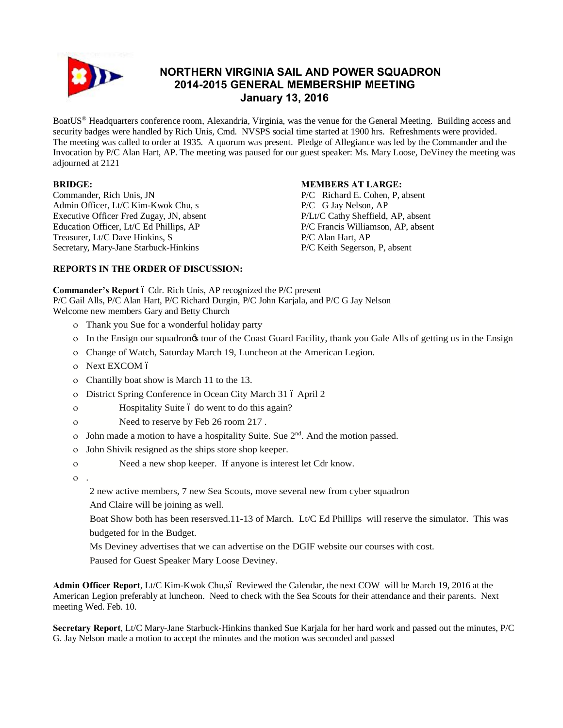

# **NORTHERN VIRGINIA SAIL AND POWER SQUADRON 2014-2015 GENERAL MEMBERSHIP MEETING January 13, 2016**

BoatUS® Headquarters conference room, Alexandria, Virginia, was the venue for the General Meeting. Building access and security badges were handled by Rich Unis, Cmd. NVSPS social time started at 1900 hrs. Refreshments were provided. The meeting was called to order at 1935. A quorum was present. Pledge of Allegiance was led by the Commander and the Invocation by P/C Alan Hart, AP. The meeting was paused for our guest speaker: Ms. Mary Loose, DeViney the meeting was adjourned at 2121

# **BRIDGE:**

Commander, Rich Unis, JN Admin Officer, Lt/C Kim-Kwok Chu, s Executive Officer Fred Zugay, JN, absent Education Officer, Lt/C Ed Phillips, AP Treasurer, Lt/C Dave Hinkins, S Secretary, Mary-Jane Starbuck-Hinkins

# **MEMBERS AT LARGE:**

P/C Richard E. Cohen, P, absent P/C G Jay Nelson, AP P/Lt/C Cathy Sheffield, AP, absent P/C Francis Williamson, AP, absent P/C Alan Hart, AP P/C Keith Segerson, P, absent

# **REPORTS IN THE ORDER OF DISCUSSION:**

**Commander's Report** 6 Cdr. Rich Unis, AP recognized the P/C present P/C Gail Alls, P/C Alan Hart, P/C Richard Durgin, P/C John Karjala, and P/C G Jay Nelson

Welcome new members Gary and Betty Church

- o Thank you Sue for a wonderful holiday party
- o In the Ensign our squadron's tour of the Coast Guard Facility, thank you Gale Alls of getting us in the Ensign
- o Change of Watch, Saturday March 19, Luncheon at the American Legion.
- o Next EXCOM ó
- o Chantilly boat show is March 11 to the 13.
- o District Spring Conference in Ocean City March 31 ó April 2
- o Hospitality Suite 6 do went to do this again?
- o Need to reserve by Feb 26 room 217 .
- o John made a motion to have a hospitality Suite. Sue  $2<sup>nd</sup>$ . And the motion passed.
- o John Shivik resigned as the ships store shop keeper.
- o Need a new shop keeper. If anyone is interest let Cdr know.
- o .
	- 2 new active members, 7 new Sea Scouts, move several new from cyber squadron
	- And Claire will be joining as well.
	- Boat Show both has been resersved.11-13 of March. Lt/C Ed Phillips will reserve the simulator. This was budgeted for in the Budget.
	- Ms Deviney advertises that we can advertise on the DGIF website our courses with cost.
	- Paused for Guest Speaker Mary Loose Deviney.

Admin Officer Report, Lt/C Kim-Kwok Chu,só Reviewed the Calendar, the next COW will be March 19, 2016 at the American Legion preferably at luncheon. Need to check with the Sea Scouts for their attendance and their parents. Next meeting Wed. Feb. 10.

**Secretary Report**, Lt/C Mary-Jane Starbuck-Hinkins thanked Sue Karjala for her hard work and passed out the minutes, P/C G. Jay Nelson made a motion to accept the minutes and the motion was seconded and passed